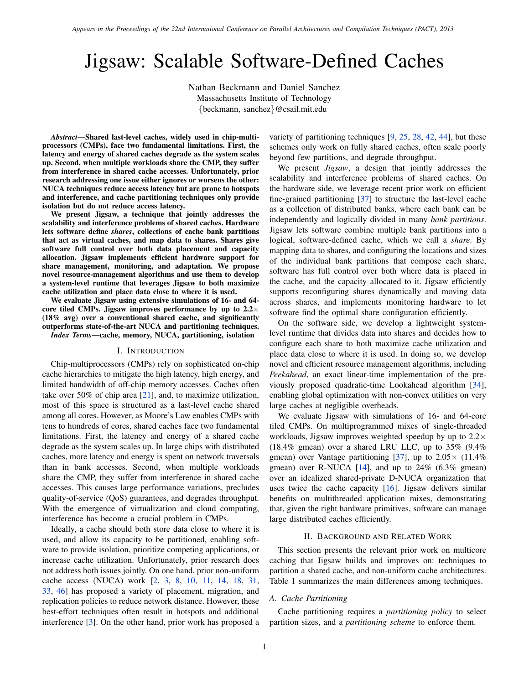# Jigsaw: Scalable Software-Defined Caches

Nathan Beckmann and Daniel Sanchez Massachusetts Institute of Technology {beckmann, sanchez}@csail.mit.edu

*Abstract*—Shared last-level caches, widely used in chip-multiprocessors (CMPs), face two fundamental limitations. First, the latency and energy of shared caches degrade as the system scales up. Second, when multiple workloads share the CMP, they suffer from interference in shared cache accesses. Unfortunately, prior research addressing one issue either ignores or worsens the other: NUCA techniques reduce access latency but are prone to hotspots and interference, and cache partitioning techniques only provide isolation but do not reduce access latency.

We present Jigsaw, a technique that jointly addresses the scalability and interference problems of shared caches. Hardware lets software define *shares*, collections of cache bank partitions that act as virtual caches, and map data to shares. Shares give software full control over both data placement and capacity allocation. Jigsaw implements efficient hardware support for share management, monitoring, and adaptation. We propose novel resource-management algorithms and use them to develop a system-level runtime that leverages Jigsaw to both maximize cache utilization and place data close to where it is used.

We evaluate Jigsaw using extensive simulations of 16- and 64 core tiled CMPs. Jigsaw improves performance by up to  $2.2\times$ (18% avg) over a conventional shared cache, and significantly outperforms state-of-the-art NUCA and partitioning techniques. *Index Terms*—cache, memory, NUCA, partitioning, isolation

#### I. INTRODUCTION

Chip-multiprocessors (CMPs) rely on sophisticated on-chip cache hierarchies to mitigate the high latency, high energy, and limited bandwidth of off-chip memory accesses. Caches often take over 50% of chip area [\[21\]](#page-11-0), and, to maximize utilization, most of this space is structured as a last-level cache shared among all cores. However, as Moore's Law enables CMPs with tens to hundreds of cores, shared caches face two fundamental limitations. First, the latency and energy of a shared cache degrade as the system scales up. In large chips with distributed caches, more latency and energy is spent on network traversals than in bank accesses. Second, when multiple workloads share the CMP, they suffer from interference in shared cache accesses. This causes large performance variations, precludes quality-of-service (QoS) guarantees, and degrades throughput. With the emergence of virtualization and cloud computing, interference has become a crucial problem in CMPs.

Ideally, a cache should both store data close to where it is used, and allow its capacity to be partitioned, enabling software to provide isolation, prioritize competing applications, or increase cache utilization. Unfortunately, prior research does not address both issues jointly. On one hand, prior non-uniform cache access (NUCA) work [\[2,](#page-11-1) [3,](#page-11-2) [8,](#page-11-3) [10,](#page-11-4) [11,](#page-11-5) [14,](#page-11-6) [18,](#page-11-7) [31,](#page-11-8) [33,](#page-11-9) [46\]](#page-11-10) has proposed a variety of placement, migration, and replication policies to reduce network distance. However, these best-effort techniques often result in hotspots and additional interference [\[3\]](#page-11-2). On the other hand, prior work has proposed a variety of partitioning techniques [\[9,](#page-11-11) [25,](#page-11-12) [28,](#page-11-13) [42,](#page-11-14) [44\]](#page-11-15), but these schemes only work on fully shared caches, often scale poorly beyond few partitions, and degrade throughput.

We present *Jigsaw*, a design that jointly addresses the scalability and interference problems of shared caches. On the hardware side, we leverage recent prior work on efficient fine-grained partitioning [\[37\]](#page-11-16) to structure the last-level cache as a collection of distributed banks, where each bank can be independently and logically divided in many *bank partitions*. Jigsaw lets software combine multiple bank partitions into a logical, software-defined cache, which we call a *share*. By mapping data to shares, and configuring the locations and sizes of the individual bank partitions that compose each share, software has full control over both where data is placed in the cache, and the capacity allocated to it. Jigsaw efficiently supports reconfiguring shares dynamically and moving data across shares, and implements monitoring hardware to let software find the optimal share configuration efficiently.

On the software side, we develop a lightweight systemlevel runtime that divides data into shares and decides how to configure each share to both maximize cache utilization and place data close to where it is used. In doing so, we develop novel and efficient resource management algorithms, including *Peekahead*, an exact linear-time implementation of the previously proposed quadratic-time Lookahead algorithm [\[34\]](#page-11-17), enabling global optimization with non-convex utilities on very large caches at negligible overheads.

We evaluate Jigsaw with simulations of 16- and 64-core tiled CMPs. On multiprogrammed mixes of single-threaded workloads, Jigsaw improves weighted speedup by up to  $2.2\times$ (18.4% gmean) over a shared LRU LLC, up to 35% (9.4% gmean) over Vantage partitioning [\[37\]](#page-11-16), up to  $2.05 \times (11.4\%)$ gmean) over R-NUCA  $[14]$ , and up to 24% (6.3% gmean) over an idealized shared-private D-NUCA organization that uses twice the cache capacity [\[16\]](#page-11-18). Jigsaw delivers similar benefits on multithreaded application mixes, demonstrating that, given the right hardware primitives, software can manage large distributed caches efficiently.

## II. BACKGROUND AND RELATED WORK

<span id="page-0-0"></span>This section presents the relevant prior work on multicore caching that Jigsaw builds and improves on: techniques to partition a shared cache, and non-uniform cache architectures. [Table 1](#page-1-0) summarizes the main differences among techniques.

#### *A. Cache Partitioning*

Cache partitioning requires a *partitioning policy* to select partition sizes, and a *partitioning scheme* to enforce them.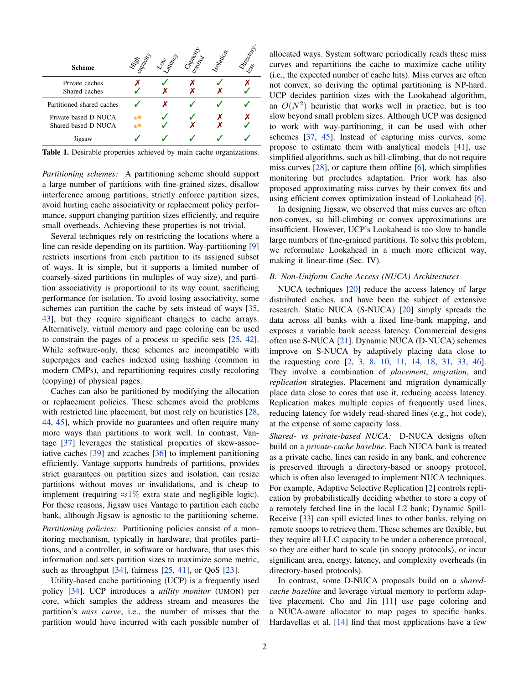<span id="page-1-0"></span>

| <b>Scheme</b>                               | <b>High</b> control | Lakedon Concord | <b>Isolation</b> | Jieger<br>Jieger |
|---------------------------------------------|---------------------|-----------------|------------------|------------------|
| Private caches<br>Shared caches             |                     |                 |                  |                  |
| Partitioned shared caches                   |                     |                 |                  |                  |
| Private-based D-NUCA<br>Shared-based D-NUCA | ه/ه<br>۰Λ           |                 |                  |                  |
| Jigsaw                                      |                     |                 |                  |                  |

Table 1. Desirable properties achieved by main cache organizations.

*Partitioning schemes:* A partitioning scheme should support a large number of partitions with fine-grained sizes, disallow interference among partitions, strictly enforce partition sizes, avoid hurting cache associativity or replacement policy performance, support changing partition sizes efficiently, and require small overheads. Achieving these properties is not trivial.

Several techniques rely on restricting the locations where a line can reside depending on its partition. Way-partitioning [\[9\]](#page-11-11) restricts insertions from each partition to its assigned subset of ways. It is simple, but it supports a limited number of coarsely-sized partitions (in multiples of way size), and partition associativity is proportional to its way count, sacrificing performance for isolation. To avoid losing associativity, some schemes can partition the cache by sets instead of ways [\[35,](#page-11-19) [43\]](#page-11-20), but they require significant changes to cache arrays. Alternatively, virtual memory and page coloring can be used to constrain the pages of a process to specific sets [\[25,](#page-11-12) [42\]](#page-11-14). While software-only, these schemes are incompatible with superpages and caches indexed using hashing (common in modern CMPs), and repartitioning requires costly recoloring (copying) of physical pages.

Caches can also be partitioned by modifying the allocation or replacement policies. These schemes avoid the problems with restricted line placement, but most rely on heuristics [\[28,](#page-11-13) [44,](#page-11-15) [45\]](#page-11-21), which provide no guarantees and often require many more ways than partitions to work well. In contrast, Vantage [\[37\]](#page-11-16) leverages the statistical properties of skew-associative caches [\[39\]](#page-11-22) and zcaches [\[36\]](#page-11-23) to implement partitioning efficiently. Vantage supports hundreds of partitions, provides strict guarantees on partition sizes and isolation, can resize partitions without moves or invalidations, and is cheap to implement (requiring  $\approx 1\%$  extra state and negligible logic). For these reasons, Jigsaw uses Vantage to partition each cache bank, although Jigsaw is agnostic to the partitioning scheme.

*Partitioning policies:* Partitioning policies consist of a monitoring mechanism, typically in hardware, that profiles partitions, and a controller, in software or hardware, that uses this information and sets partition sizes to maximize some metric, such as throughput [\[34\]](#page-11-17), fairness [\[25,](#page-11-12) [41\]](#page-11-24), or QoS [\[23\]](#page-11-25).

Utility-based cache partitioning (UCP) is a frequently used policy [\[34\]](#page-11-17). UCP introduces a *utility monitor* (UMON) per core, which samples the address stream and measures the partition's *miss curve*, i.e., the number of misses that the partition would have incurred with each possible number of

allocated ways. System software periodically reads these miss curves and repartitions the cache to maximize cache utility (i.e., the expected number of cache hits). Miss curves are often not convex, so deriving the optimal partitioning is NP-hard. UCP decides partition sizes with the Lookahead algorithm, an  $O(N^2)$  heuristic that works well in practice, but is too slow beyond small problem sizes. Although UCP was designed to work with way-partitioning, it can be used with other schemes [\[37,](#page-11-16) [45\]](#page-11-21). Instead of capturing miss curves, some propose to estimate them with analytical models [\[41\]](#page-11-24), use simplified algorithms, such as hill-climbing, that do not require miss curves [\[28\]](#page-11-13), or capture them offline [\[6\]](#page-11-26), which simplifies monitoring but precludes adaptation. Prior work has also proposed approximating miss curves by their convex fits and using efficient convex optimization instead of Lookahead [\[6\]](#page-11-26).

In designing Jigsaw, we observed that miss curves are often non-convex, so hill-climbing or convex approximations are insufficient. However, UCP's Lookahead is too slow to handle large numbers of fine-grained partitions. To solve this problem, we reformulate Lookahead in a much more efficient way, making it linear-time [\(Sec. IV\)](#page-4-0).

## *B. Non-Uniform Cache Access (NUCA) Architectures*

NUCA techniques [\[20\]](#page-11-27) reduce the access latency of large distributed caches, and have been the subject of extensive research. Static NUCA (S-NUCA) [\[20\]](#page-11-27) simply spreads the data across all banks with a fixed line-bank mapping, and exposes a variable bank access latency. Commercial designs often use S-NUCA [\[21\]](#page-11-0). Dynamic NUCA (D-NUCA) schemes improve on S-NUCA by adaptively placing data close to the requesting core [\[2,](#page-11-1) [3,](#page-11-2) [8,](#page-11-3) [10,](#page-11-4) [11,](#page-11-5) [14,](#page-11-6) [18,](#page-11-7) [31,](#page-11-8) [33,](#page-11-9) [46\]](#page-11-10). They involve a combination of *placement*, *migration*, and *replication* strategies. Placement and migration dynamically place data close to cores that use it, reducing access latency. Replication makes multiple copies of frequently used lines, reducing latency for widely read-shared lines (e.g., hot code), at the expense of some capacity loss.

*Shared- vs private-based NUCA:* D-NUCA designs often build on a *private-cache baseline*. Each NUCA bank is treated as a private cache, lines can reside in any bank, and coherence is preserved through a directory-based or snoopy protocol, which is often also leveraged to implement NUCA techniques. For example, Adaptive Selective Replication [\[2\]](#page-11-1) controls replication by probabilistically deciding whether to store a copy of a remotely fetched line in the local L2 bank; Dynamic Spill-Receive [\[33\]](#page-11-9) can spill evicted lines to other banks, relying on remote snoops to retrieve them. These schemes are flexible, but they require all LLC capacity to be under a coherence protocol, so they are either hard to scale (in snoopy protocols), or incur significant area, energy, latency, and complexity overheads (in directory-based protocols).

In contrast, some D-NUCA proposals build on a *sharedcache baseline* and leverage virtual memory to perform adaptive placement. Cho and Jin [\[11\]](#page-11-5) use page coloring and a NUCA-aware allocator to map pages to specific banks. Hardavellas et al. [\[14\]](#page-11-6) find that most applications have a few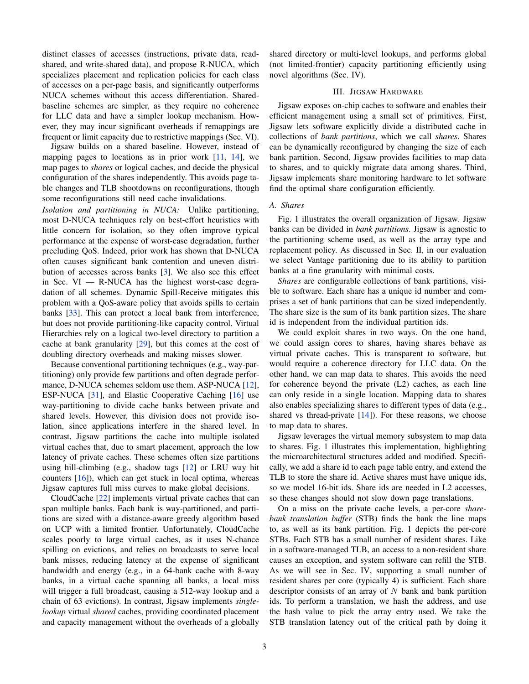distinct classes of accesses (instructions, private data, readshared, and write-shared data), and propose R-NUCA, which specializes placement and replication policies for each class of accesses on a per-page basis, and significantly outperforms NUCA schemes without this access differentiation. Sharedbaseline schemes are simpler, as they require no coherence for LLC data and have a simpler lookup mechanism. However, they may incur significant overheads if remappings are frequent or limit capacity due to restrictive mappings [\(Sec. VI\)](#page-7-0).

Jigsaw builds on a shared baseline. However, instead of mapping pages to locations as in prior work [\[11,](#page-11-5) [14\]](#page-11-6), we map pages to *shares* or logical caches, and decide the physical configuration of the shares independently. This avoids page table changes and TLB shootdowns on reconfigurations, though some reconfigurations still need cache invalidations.

*Isolation and partitioning in NUCA:* Unlike partitioning, most D-NUCA techniques rely on best-effort heuristics with little concern for isolation, so they often improve typical performance at the expense of worst-case degradation, further precluding QoS. Indeed, prior work has shown that D-NUCA often causes significant bank contention and uneven distribution of accesses across banks [\[3\]](#page-11-2). We also see this effect in Sec.  $VI - R-NUCA$  has the highest worst-case degradation of all schemes. Dynamic Spill-Receive mitigates this problem with a QoS-aware policy that avoids spills to certain banks [\[33\]](#page-11-9). This can protect a local bank from interference, but does not provide partitioning-like capacity control. Virtual Hierarchies rely on a logical two-level directory to partition a cache at bank granularity [\[29\]](#page-11-28), but this comes at the cost of doubling directory overheads and making misses slower.

Because conventional partitioning techniques (e.g., way-partitioning) only provide few partitions and often degrade performance, D-NUCA schemes seldom use them. ASP-NUCA [\[12\]](#page-11-29), ESP-NUCA [\[31\]](#page-11-8), and Elastic Cooperative Caching [\[16\]](#page-11-18) use way-partitioning to divide cache banks between private and shared levels. However, this division does not provide isolation, since applications interfere in the shared level. In contrast, Jigsaw partitions the cache into multiple isolated virtual caches that, due to smart placement, approach the low latency of private caches. These schemes often size partitions using hill-climbing (e.g., shadow tags [\[12\]](#page-11-29) or LRU way hit counters [\[16\]](#page-11-18)), which can get stuck in local optima, whereas Jigsaw captures full miss curves to make global decisions.

CloudCache [\[22\]](#page-11-30) implements virtual private caches that can span multiple banks. Each bank is way-partitioned, and partitions are sized with a distance-aware greedy algorithm based on UCP with a limited frontier. Unfortunately, CloudCache scales poorly to large virtual caches, as it uses N-chance spilling on evictions, and relies on broadcasts to serve local bank misses, reducing latency at the expense of significant bandwidth and energy (e.g., in a 64-bank cache with 8-way banks, in a virtual cache spanning all banks, a local miss will trigger a full broadcast, causing a 512-way lookup and a chain of 63 evictions). In contrast, Jigsaw implements *singlelookup* virtual *shared* caches, providing coordinated placement and capacity management without the overheads of a globally shared directory or multi-level lookups, and performs global (not limited-frontier) capacity partitioning efficiently using novel algorithms [\(Sec. IV\)](#page-4-0).

## III. JIGSAW HARDWARE

<span id="page-2-0"></span>Jigsaw exposes on-chip caches to software and enables their efficient management using a small set of primitives. First, Jigsaw lets software explicitly divide a distributed cache in collections of *bank partitions*, which we call *shares*. Shares can be dynamically reconfigured by changing the size of each bank partition. Second, Jigsaw provides facilities to map data to shares, and to quickly migrate data among shares. Third, Jigsaw implements share monitoring hardware to let software find the optimal share configuration efficiently.

## *A. Shares*

[Fig. 1](#page-3-0) illustrates the overall organization of Jigsaw. Jigsaw banks can be divided in *bank partitions*. Jigsaw is agnostic to the partitioning scheme used, as well as the array type and replacement policy. As discussed in [Sec. II,](#page-0-0) in our evaluation we select Vantage partitioning due to its ability to partition banks at a fine granularity with minimal costs.

*Shares* are configurable collections of bank partitions, visible to software. Each share has a unique id number and comprises a set of bank partitions that can be sized independently. The share size is the sum of its bank partition sizes. The share id is independent from the individual partition ids.

We could exploit shares in two ways. On the one hand, we could assign cores to shares, having shares behave as virtual private caches. This is transparent to software, but would require a coherence directory for LLC data. On the other hand, we can map data to shares. This avoids the need for coherence beyond the private (L2) caches, as each line can only reside in a single location. Mapping data to shares also enables specializing shares to different types of data (e.g., shared vs thread-private [\[14\]](#page-11-6)). For these reasons, we choose to map data to shares.

Jigsaw leverages the virtual memory subsystem to map data to shares. [Fig. 1](#page-3-0) illustrates this implementation, highlighting the microarchitectural structures added and modified. Specifically, we add a share id to each page table entry, and extend the TLB to store the share id. Active shares must have unique ids, so we model 16-bit ids. Share ids are needed in L2 accesses, so these changes should not slow down page translations.

On a miss on the private cache levels, a per-core *sharebank translation buffer* (STB) finds the bank the line maps to, as well as its bank partition. [Fig. 1](#page-3-0) depicts the per-core STBs. Each STB has a small number of resident shares. Like in a software-managed TLB, an access to a non-resident share causes an exception, and system software can refill the STB. As we will see in [Sec. IV,](#page-4-0) supporting a small number of resident shares per core (typically 4) is sufficient. Each share descriptor consists of an array of  $N$  bank and bank partition ids. To perform a translation, we hash the address, and use the hash value to pick the array entry used. We take the STB translation latency out of the critical path by doing it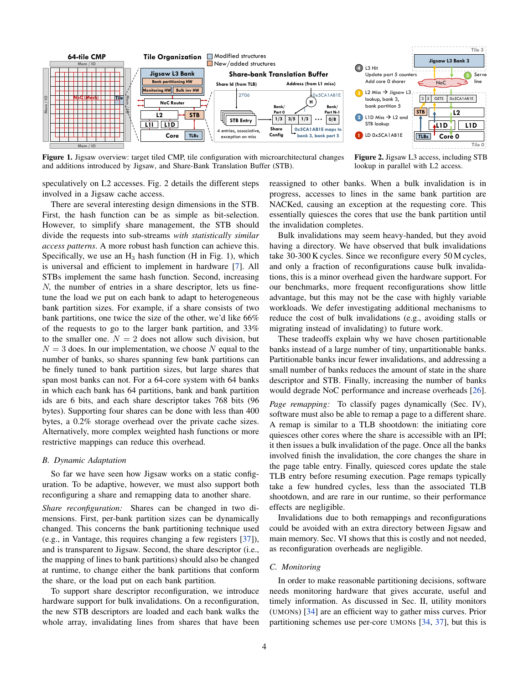<span id="page-3-0"></span>

Figure 1. Jigsaw overview: target tiled CMP, tile configuration with microarchitectural changes and additions introduced by Jigsaw, and Share-Bank Translation Buffer (STB).

Figure 2. Jigsaw L3 access, including STB lookup in parallel with L2 access.

speculatively on L2 accesses. [Fig. 2](#page-3-0) details the different steps involved in a Jigsaw cache access.

There are several interesting design dimensions in the STB. First, the hash function can be as simple as bit-selection. However, to simplify share management, the STB should divide the requests into sub-streams *with statistically similar access patterns*. A more robust hash function can achieve this. Specifically, we use an  $H_3$  hash function (H in [Fig. 1\)](#page-3-0), which is universal and efficient to implement in hardware [\[7\]](#page-11-31). All STBs implement the same hash function. Second, increasing N, the number of entries in a share descriptor, lets us finetune the load we put on each bank to adapt to heterogeneous bank partition sizes. For example, if a share consists of two bank partitions, one twice the size of the other, we'd like 66% of the requests to go to the larger bank partition, and 33% to the smaller one.  $N = 2$  does not allow such division, but  $N = 3$  does. In our implementation, we choose N equal to the number of banks, so shares spanning few bank partitions can be finely tuned to bank partition sizes, but large shares that span most banks can not. For a 64-core system with 64 banks in which each bank has 64 partitions, bank and bank partition ids are 6 bits, and each share descriptor takes 768 bits (96 bytes). Supporting four shares can be done with less than 400 bytes, a 0.2% storage overhead over the private cache sizes. Alternatively, more complex weighted hash functions or more restrictive mappings can reduce this overhead.

### *B. Dynamic Adaptation*

So far we have seen how Jigsaw works on a static configuration. To be adaptive, however, we must also support both reconfiguring a share and remapping data to another share.

*Share reconfiguration:* Shares can be changed in two dimensions. First, per-bank partition sizes can be dynamically changed. This concerns the bank partitioning technique used (e.g., in Vantage, this requires changing a few registers [\[37\]](#page-11-16)), and is transparent to Jigsaw. Second, the share descriptor (i.e., the mapping of lines to bank partitions) should also be changed at runtime, to change either the bank partitions that conform the share, or the load put on each bank partition.

To support share descriptor reconfiguration, we introduce hardware support for bulk invalidations. On a reconfiguration, the new STB descriptors are loaded and each bank walks the whole array, invalidating lines from shares that have been reassigned to other banks. When a bulk invalidation is in progress, accesses to lines in the same bank partition are NACKed, causing an exception at the requesting core. This essentially quiesces the cores that use the bank partition until the invalidation completes.

Bulk invalidations may seem heavy-handed, but they avoid having a directory. We have observed that bulk invalidations take 30-300 K cycles. Since we reconfigure every 50 M cycles, and only a fraction of reconfigurations cause bulk invalidations, this is a minor overhead given the hardware support. For our benchmarks, more frequent reconfigurations show little advantage, but this may not be the case with highly variable workloads. We defer investigating additional mechanisms to reduce the cost of bulk invalidations (e.g., avoiding stalls or migrating instead of invalidating) to future work.

These tradeoffs explain why we have chosen partitionable banks instead of a large number of tiny, unpartitionable banks. Partitionable banks incur fewer invalidations, and addressing a small number of banks reduces the amount of state in the share descriptor and STB. Finally, increasing the number of banks would degrade NoC performance and increase overheads [\[26\]](#page-11-32).

*Page remapping:* To classify pages dynamically [\(Sec. IV\)](#page-4-0), software must also be able to remap a page to a different share. A remap is similar to a TLB shootdown: the initiating core quiesces other cores where the share is accessible with an IPI; it then issues a bulk invalidation of the page. Once all the banks involved finish the invalidation, the core changes the share in the page table entry. Finally, quiesced cores update the stale TLB entry before resuming execution. Page remaps typically take a few hundred cycles, less than the associated TLB shootdown, and are rare in our runtime, so their performance effects are negligible.

Invalidations due to both remappings and reconfigurations could be avoided with an extra directory between Jigsaw and main memory. [Sec. VI](#page-7-0) shows that this is costly and not needed, as reconfiguration overheads are negligible.

## <span id="page-3-1"></span>*C. Monitoring*

In order to make reasonable partitioning decisions, software needs monitoring hardware that gives accurate, useful and timely information. As discussed in [Sec. II,](#page-0-0) utility monitors (UMONs) [\[34\]](#page-11-17) are an efficient way to gather miss curves. Prior partitioning schemes use per-core UMONs [\[34,](#page-11-17) [37\]](#page-11-16), but this is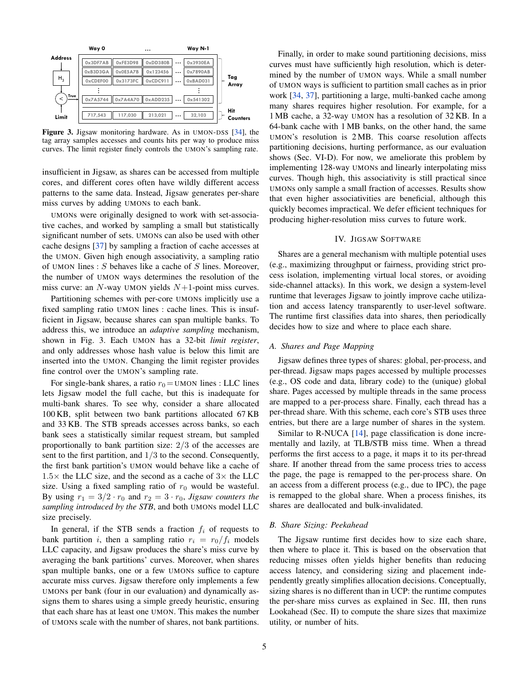<span id="page-4-1"></span>

Figure 3. Jigsaw monitoring hardware. As in UMON-DSS [\[34\]](#page-11-17), the tag array samples accesses and counts hits per way to produce miss curves. The limit register finely controls the UMON's sampling rate.

insufficient in Jigsaw, as shares can be accessed from multiple cores, and different cores often have wildly different access patterns to the same data. Instead, Jigsaw generates per-share miss curves by adding UMONs to each bank.

UMONs were originally designed to work with set-associative caches, and worked by sampling a small but statistically significant number of sets. UMONs can also be used with other cache designs [\[37\]](#page-11-16) by sampling a fraction of cache accesses at the UMON. Given high enough associativity, a sampling ratio of UMON lines :  $S$  behaves like a cache of  $S$  lines. Moreover, the number of UMON ways determines the resolution of the miss curve: an  $N$ -way UMON yields  $N+1$ -point miss curves.

Partitioning schemes with per-core UMONs implicitly use a fixed sampling ratio UMON lines : cache lines. This is insufficient in Jigsaw, because shares can span multiple banks. To address this, we introduce an *adaptive sampling* mechanism, shown in [Fig. 3.](#page-4-1) Each UMON has a 32-bit *limit register*, and only addresses whose hash value is below this limit are inserted into the UMON. Changing the limit register provides fine control over the UMON's sampling rate.

For single-bank shares, a ratio  $r_0 =$ UMON lines : LLC lines lets Jigsaw model the full cache, but this is inadequate for multi-bank shares. To see why, consider a share allocated 100 KB, split between two bank partitions allocated 67 KB and 33 KB. The STB spreads accesses across banks, so each bank sees a statistically similar request stream, but sampled proportionally to bank partition size: 2/3 of the accesses are sent to the first partition, and  $1/3$  to the second. Consequently, the first bank partition's UMON would behave like a cache of  $1.5\times$  the LLC size, and the second as a cache of  $3\times$  the LLC size. Using a fixed sampling ratio of  $r_0$  would be wasteful. By using  $r_1 = 3/2 \cdot r_0$  and  $r_2 = 3 \cdot r_0$ , *Jigsaw counters the sampling introduced by the STB*, and both UMONs model LLC size precisely.

In general, if the STB sends a fraction  $f_i$  of requests to bank partition *i*, then a sampling ratio  $r_i = r_0/f_i$  models LLC capacity, and Jigsaw produces the share's miss curve by averaging the bank partitions' curves. Moreover, when shares span multiple banks, one or a few UMONs suffice to capture accurate miss curves. Jigsaw therefore only implements a few UMONs per bank (four in our evaluation) and dynamically assigns them to shares using a simple greedy heuristic, ensuring that each share has at least one UMON. This makes the number of UMONs scale with the number of shares, not bank partitions.

Finally, in order to make sound partitioning decisions, miss curves must have sufficiently high resolution, which is determined by the number of UMON ways. While a small number of UMON ways is sufficient to partition small caches as in prior work [\[34,](#page-11-17) [37\]](#page-11-16), partitioning a large, multi-banked cache among many shares requires higher resolution. For example, for a 1 MB cache, a 32-way UMON has a resolution of 32 KB. In a 64-bank cache with 1 MB banks, on the other hand, the same UMON's resolution is 2 MB. This coarse resolution affects partitioning decisions, hurting performance, as our evaluation shows [\(Sec. VI-D\)](#page-10-0). For now, we ameliorate this problem by implementing 128-way UMONs and linearly interpolating miss curves. Though high, this associativity is still practical since UMONs only sample a small fraction of accesses. Results show that even higher associativities are beneficial, although this quickly becomes impractical. We defer efficient techniques for producing higher-resolution miss curves to future work.

#### IV. JIGSAW SOFTWARE

<span id="page-4-0"></span>Shares are a general mechanism with multiple potential uses (e.g., maximizing throughput or fairness, providing strict process isolation, implementing virtual local stores, or avoiding side-channel attacks). In this work, we design a system-level runtime that leverages Jigsaw to jointly improve cache utilization and access latency transparently to user-level software. The runtime first classifies data into shares, then periodically decides how to size and where to place each share.

## *A. Shares and Page Mapping*

Jigsaw defines three types of shares: global, per-process, and per-thread. Jigsaw maps pages accessed by multiple processes (e.g., OS code and data, library code) to the (unique) global share. Pages accessed by multiple threads in the same process are mapped to a per-process share. Finally, each thread has a per-thread share. With this scheme, each core's STB uses three entries, but there are a large number of shares in the system.

Similar to R-NUCA [\[14\]](#page-11-6), page classification is done incrementally and lazily, at TLB/STB miss time. When a thread performs the first access to a page, it maps it to its per-thread share. If another thread from the same process tries to access the page, the page is remapped to the per-process share. On an access from a different process (e.g., due to IPC), the page is remapped to the global share. When a process finishes, its shares are deallocated and bulk-invalidated.

#### *B. Share Sizing: Peekahead*

The Jigsaw runtime first decides how to size each share, then where to place it. This is based on the observation that reducing misses often yields higher benefits than reducing access latency, and considering sizing and placement independently greatly simplifies allocation decisions. Conceptually, sizing shares is no different than in UCP: the runtime computes the per-share miss curves as explained in [Sec. III,](#page-2-0) then runs Lookahead [\(Sec. II\)](#page-0-0) to compute the share sizes that maximize utility, or number of hits.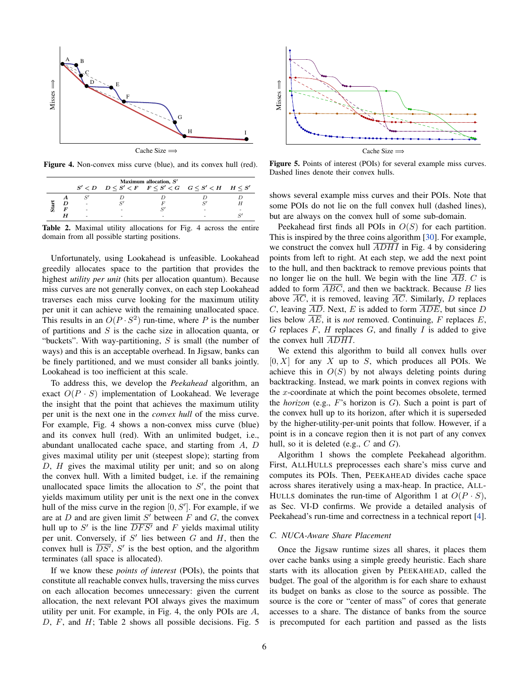<span id="page-5-0"></span>

Cache Size  $\Longrightarrow$ 

Figure 4. Non-convex miss curve (blue), and its convex hull (red).

<span id="page-5-1"></span>

| Maximum allocation, $S'$ |  |  |  |  |                                                          |  |  |  |
|--------------------------|--|--|--|--|----------------------------------------------------------|--|--|--|
|                          |  |  |  |  | $S' < D$ $D < S' < F$ $F < S' < G$ $G < S' < H$ $H < S'$ |  |  |  |
|                          |  |  |  |  |                                                          |  |  |  |
|                          |  |  |  |  |                                                          |  |  |  |
| ă                        |  |  |  |  |                                                          |  |  |  |
|                          |  |  |  |  |                                                          |  |  |  |

Table 2. Maximal utility allocations for [Fig. 4](#page-5-0) across the entire domain from all possible starting positions.

Unfortunately, using Lookahead is unfeasible. Lookahead greedily allocates space to the partition that provides the highest *utility per unit* (hits per allocation quantum). Because miss curves are not generally convex, on each step Lookahead traverses each miss curve looking for the maximum utility per unit it can achieve with the remaining unallocated space. This results in an  $O(P \cdot S^2)$  run-time, where P is the number of partitions and  $S$  is the cache size in allocation quanta, or "buckets". With way-partitioning,  $S$  is small (the number of ways) and this is an acceptable overhead. In Jigsaw, banks can be finely partitioned, and we must consider all banks jointly. Lookahead is too inefficient at this scale.

To address this, we develop the *Peekahead* algorithm, an exact  $O(P \cdot S)$  implementation of Lookahead. We leverage the insight that the point that achieves the maximum utility per unit is the next one in the *convex hull* of the miss curve. For example, [Fig. 4](#page-5-0) shows a non-convex miss curve (blue) and its convex hull (red). With an unlimited budget, i.e., abundant unallocated cache space, and starting from A, D gives maximal utility per unit (steepest slope); starting from D, H gives the maximal utility per unit; and so on along the convex hull. With a limited budget, i.e. if the remaining unallocated space limits the allocation to  $S'$ , the point that yields maximum utility per unit is the next one in the convex hull of the miss curve in the region  $[0, S']$ . For example, if we are at D and are given limit  $S'$  between  $\overline{F}$  and  $G$ , the convex hull up to S' is the line  $\overline{DFS'}$  and F yields maximal utility per unit. Conversely, if  $S'$  lies between  $G$  and  $H$ , then the convex hull is  $\overline{DS'}$ , S' is the best option, and the algorithm terminates (all space is allocated).

If we know these *points of interest* (POIs), the points that constitute all reachable convex hulls, traversing the miss curves on each allocation becomes unnecessary: given the current allocation, the next relevant POI always gives the maximum utility per unit. For example, in [Fig. 4,](#page-5-0) the only POIs are  $A$ ,  $D, F,$  and  $H$ ; [Table 2](#page-5-1) shows all possible decisions. [Fig. 5](#page-5-2)

<span id="page-5-2"></span>

Figure 5. Points of interest (POIs) for several example miss curves. Dashed lines denote their convex hulls.

shows several example miss curves and their POIs. Note that some POIs do not lie on the full convex hull (dashed lines), but are always on the convex hull of some sub-domain.

Peekahead first finds all POIs in  $O(S)$  for each partition. This is inspired by the three coins algorithm [\[30\]](#page-11-33). For example, we construct the convex hull  $\overline{ADHI}$  in [Fig. 4](#page-5-0) by considering points from left to right. At each step, we add the next point to the hull, and then backtrack to remove previous points that no longer lie on the hull. We begin with the line  $\overline{AB}$ . C is added to form  $\overline{ABC}$ , and then we backtrack. Because B lies above  $\overline{AC}$ , it is removed, leaving  $\overline{AC}$ . Similarly, D replaces C, leaving  $\overline{AD}$ . Next, E is added to form  $\overline{ADE}$ , but since D lies below  $\overline{AE}$ , it is *not* removed. Continuing, F replaces E, G replaces  $F$ ,  $H$  replaces  $G$ , and finally  $I$  is added to give the convex hull ADHI.

We extend this algorithm to build all convex hulls over  $[0, X]$  for any X up to S, which produces all POIs. We achieve this in  $O(S)$  by not always deleting points during backtracking. Instead, we mark points in convex regions with the x-coordinate at which the point becomes obsolete, termed the *horizon* (e.g., F's horizon is G). Such a point is part of the convex hull up to its horizon, after which it is superseded by the higher-utility-per-unit points that follow. However, if a point is in a concave region then it is not part of any convex hull, so it is deleted (e.g.,  $C$  and  $G$ ).

[Algorithm 1](#page-6-0) shows the complete Peekahead algorithm. First, ALLHULLS preprocesses each share's miss curve and computes its POIs. Then, PEEKAHEAD divides cache space across shares iteratively using a max-heap. In practice, ALL-HULLS dominates the run-time of [Algorithm 1](#page-6-0) at  $O(P \cdot S)$ , as [Sec. VI-D](#page-10-1) confirms. We provide a detailed analysis of Peekahead's run-time and correctness in a technical report [\[4\]](#page-11-34).

## *C. NUCA-Aware Share Placement*

Once the Jigsaw runtime sizes all shares, it places them over cache banks using a simple greedy heuristic. Each share starts with its allocation given by PEEKAHEAD, called the budget. The goal of the algorithm is for each share to exhaust its budget on banks as close to the source as possible. The source is the core or "center of mass" of cores that generate accesses to a share. The distance of banks from the source is precomputed for each partition and passed as the lists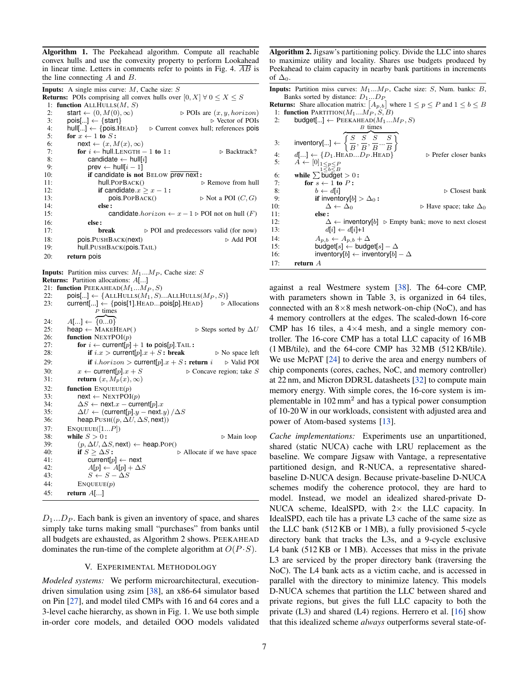<span id="page-6-0"></span>Algorithm 1. The Peekahead algorithm. Compute all reachable convex hulls and use the convexity property to perform Lookahead in linear time. Letters in comments refer to points in [Fig. 4.](#page-5-0) AB is the line connecting  $A$  and  $B$ .

| <b>Inputs:</b> A single miss curve: $M$ , Cache size: $S$<br><b>Returns:</b> POIs comprising all convex hulls over $[0, X] \forall 0 \le X \le S$ |                                                                                         |  |  |  |  |  |  |
|---------------------------------------------------------------------------------------------------------------------------------------------------|-----------------------------------------------------------------------------------------|--|--|--|--|--|--|
| 1: function ALLHULLS $(M, S)$                                                                                                                     |                                                                                         |  |  |  |  |  |  |
| 2:                                                                                                                                                | start $\leftarrow (0, M(0), \infty)$<br>$\triangleright$ POIs are $(x, y, horizon)$     |  |  |  |  |  |  |
| 3:                                                                                                                                                | $\text{pois}[\ldots] \leftarrow \{\text{start}\}$<br>$\triangleright$ Vector of POIs    |  |  |  |  |  |  |
| 4:                                                                                                                                                | $hull[] \leftarrow \{pois.H$ EAD} $\triangleright$ Current convex hull; references pois |  |  |  |  |  |  |
| 5:                                                                                                                                                | for $x \leftarrow 1$ to $S$ :                                                           |  |  |  |  |  |  |
| 6:                                                                                                                                                | $next \leftarrow (x, M(x), \infty)$                                                     |  |  |  |  |  |  |
| 7:                                                                                                                                                | for $i \leftarrow$ hull. LENGTH $-1$ to 1:<br>$\triangleright$ Backtrack?               |  |  |  |  |  |  |
| 8:                                                                                                                                                | candidate $\leftarrow$ hull[i]                                                          |  |  |  |  |  |  |
| 9:                                                                                                                                                | $prev \leftarrow \text{hull}[i-1]$                                                      |  |  |  |  |  |  |
| 10:                                                                                                                                               | if candidate is not BELOW prev next:                                                    |  |  |  |  |  |  |
| 11:                                                                                                                                               | hull.POPBACK()<br>$\triangleright$ Remove from hull                                     |  |  |  |  |  |  |
| 12:                                                                                                                                               | if candidate. $x \geq x - 1$ :                                                          |  |  |  |  |  |  |
| 13:                                                                                                                                               | pois.POPBACK()<br>$\triangleright$ Not a POI $(C, G)$                                   |  |  |  |  |  |  |
| 14:                                                                                                                                               | else :                                                                                  |  |  |  |  |  |  |
| 15:<br>16:                                                                                                                                        | candidate. $horizon \leftarrow x - 1 \triangleright$ POI not on hull $(F)$              |  |  |  |  |  |  |
| 17:                                                                                                                                               | else :<br>break<br>$\triangleright$ POI and predecessors valid (for now)                |  |  |  |  |  |  |
| 18:                                                                                                                                               | pois.PUSHBACK(next)<br>$\triangleright$ Add POI                                         |  |  |  |  |  |  |
| 19:                                                                                                                                               | hull.PUSHBACK(pois.TAIL)                                                                |  |  |  |  |  |  |
| 20:                                                                                                                                               | return pois                                                                             |  |  |  |  |  |  |
|                                                                                                                                                   |                                                                                         |  |  |  |  |  |  |
|                                                                                                                                                   | <b>Inputs:</b> Partition miss curves: $M_1M_P$ , Cache size: S                          |  |  |  |  |  |  |
|                                                                                                                                                   | <b>Returns:</b> Partition allocations: A[]                                              |  |  |  |  |  |  |
|                                                                                                                                                   | 21: function PEEKAHEAD( $M_1M_P$ , S)                                                   |  |  |  |  |  |  |
| 22:                                                                                                                                               | $\text{pois}[\ldots] \leftarrow {\text{ALLHULs}(M_1, S) \ldots \text{ALLHULs}(M_P, S)}$ |  |  |  |  |  |  |
| 23:                                                                                                                                               | current[] $\leftarrow$ {pois[1].HEADpois[p].HEAD} $\triangleright$ Allocations          |  |  |  |  |  |  |
|                                                                                                                                                   | P times                                                                                 |  |  |  |  |  |  |
| 24:                                                                                                                                               | $A[] \leftarrow \{00\}$                                                                 |  |  |  |  |  |  |
| 25:                                                                                                                                               | $heap \leftarrow \text{MAKEHEAP}()$<br>$\triangleright$ Steps sorted by $\Delta U$      |  |  |  |  |  |  |
| 26:                                                                                                                                               | function $NEXTPOI(p)$                                                                   |  |  |  |  |  |  |
| 27:                                                                                                                                               | for $i \leftarrow$ current[p] + 1 to pois[p]. TAIL:                                     |  |  |  |  |  |  |
| 28:                                                                                                                                               | if $i.x >$ current[p]. $x + S$ : break<br>$\triangleright$ No space left                |  |  |  |  |  |  |
| 29:                                                                                                                                               | if i.horizon $>$ current[p]. $x + S$ : return i<br>$\triangleright$ Valid POI           |  |  |  |  |  |  |
| 30:                                                                                                                                               | $x \leftarrow$ current[p]. $x + S$<br>$\triangleright$ Concave region; take S           |  |  |  |  |  |  |
| 31:                                                                                                                                               | return $(x, M_p(x), \infty)$                                                            |  |  |  |  |  |  |
| 32:                                                                                                                                               | function $ENQUEUE(p)$                                                                   |  |  |  |  |  |  |
| 33:                                                                                                                                               | $next \leftarrow$ NEXTPOI(p)                                                            |  |  |  |  |  |  |
| 34:                                                                                                                                               | $\Delta S \leftarrow \text{next}.x - \text{current}[p].x$                               |  |  |  |  |  |  |
| 35:                                                                                                                                               | $\Delta U \leftarrow$ (current[p].y – next.y) $/\Delta S$                               |  |  |  |  |  |  |
| 36:                                                                                                                                               | heap. PUSH $((p, \Delta U, \Delta S, \text{next}))$                                     |  |  |  |  |  |  |
| 37:                                                                                                                                               | ENQUEUE([1P])                                                                           |  |  |  |  |  |  |
| 38:                                                                                                                                               | while $S > 0$ :<br>$\triangleright$ Main loop                                           |  |  |  |  |  |  |
| 39:                                                                                                                                               | $(p, \Delta U, \Delta S, \text{next}) \leftarrow \text{heap.POP}()$                     |  |  |  |  |  |  |
| 40:                                                                                                                                               | if $S \geq \Delta S$ :<br>$\triangleright$ Allocate if we have space                    |  |  |  |  |  |  |
| 41:                                                                                                                                               | current[p] $\leftarrow$ next                                                            |  |  |  |  |  |  |
| 42:                                                                                                                                               | $A[p] \leftarrow A[p] + \Delta S$                                                       |  |  |  |  |  |  |
| 43:                                                                                                                                               | $S \leftarrow S - \Delta S$                                                             |  |  |  |  |  |  |
| 44:                                                                                                                                               | ENQUEUE(p)                                                                              |  |  |  |  |  |  |
| 45:                                                                                                                                               | return $A[\ldots]$                                                                      |  |  |  |  |  |  |
|                                                                                                                                                   |                                                                                         |  |  |  |  |  |  |

 $D_1...D_P$ . Each bank is given an inventory of space, and shares simply take turns making small "purchases" from banks until all budgets are exhausted, as [Algorithm 2](#page-6-1) shows. PEEKAHEAD dominates the run-time of the complete algorithm at  $O(P \cdot S)$ .

#### V. EXPERIMENTAL METHODOLOGY

*Modeled systems:* We perform microarchitectural, executiondriven simulation using zsim [\[38\]](#page-11-35), an x86-64 simulator based on Pin [\[27\]](#page-11-36), and model tiled CMPs with 16 and 64 cores and a 3-level cache hierarchy, as shown in [Fig. 1.](#page-3-0) We use both simple in-order core models, and detailed OOO models validated

<span id="page-6-1"></span>Algorithm 2. Jigsaw's partitioning policy. Divide the LLC into shares to maximize utility and locality. Shares use budgets produced by Peekahead to claim capacity in nearby bank partitions in increments of  $\Delta_0$ .

**Inputs:** Partition miss curves:  $M_1...M_P$ , Cache size:  $S$ , Num. banks:  $B$ , Banks sorted by distance:  $D_1...D_P$ <br>**Returns:** Share allocation matrix:  $[A_{p,b}]$  where  $1 \le p \le P$  and  $1 \le b \le B$ 

1: function PARTITION( $M_1...M_P$ , S, B)

| 2:  | budget[] $\leftarrow$ PEEKAHEAD( $M_1M_P$ , S)                                               |                                              |
|-----|----------------------------------------------------------------------------------------------|----------------------------------------------|
|     | B times                                                                                      |                                              |
|     |                                                                                              |                                              |
| 3:  | inventory[] $\leftarrow \left\{ \frac{S}{B}, \frac{S}{B}, \frac{S}{B}  \frac{S}{B} \right\}$ |                                              |
|     |                                                                                              |                                              |
| 4:  | $d[] \leftarrow \{D_1.HEADD_P.HEAD\}$                                                        | $\triangleright$ Prefer closer banks         |
| 5:  | $A \leftarrow [0]_{1 \leq p \leq P}$                                                         |                                              |
|     | $1 \le b \le B$                                                                              |                                              |
| 6:  | while $\sum$ budget $>0$ :                                                                   |                                              |
| 7:  | for $s \leftarrow 1$ to P:                                                                   |                                              |
| 8:  | $b \leftarrow d[i]$                                                                          | $\triangleright$ Closest bank                |
| 9:  | <b>if</b> inventory[b] $> \Delta_0$ :                                                        |                                              |
| 10: | $\Delta \leftarrow \Delta_0$                                                                 | $\triangleright$ Have space; take $\Delta_0$ |
| 11: | else :                                                                                       |                                              |
| 12: | $\Delta \leftarrow$ inventory[b] $\triangleright$ Empty bank; move to next closest           |                                              |
| 13: | $d[i] \leftarrow d[i]+1$                                                                     |                                              |
| 14: | $A_{p,b} \leftarrow A_{p,b} + \Delta$                                                        |                                              |
| 15: | budget[s] $\leftarrow$ budget[s] $-\Delta$                                                   |                                              |
| 16: | inventory[b] $\leftarrow$ inventory[b] $-\Delta$                                             |                                              |
| 17: | return $A$                                                                                   |                                              |

against a real Westmere system [\[38\]](#page-11-35). The 64-core CMP, with parameters shown in [Table 3,](#page-7-1) is organized in 64 tiles, connected with an  $8\times 8$  mesh network-on-chip (NoC), and has 4 memory controllers at the edges. The scaled-down 16-core CMP has 16 tiles, a  $4\times4$  mesh, and a single memory controller. The 16-core CMP has a total LLC capacity of 16 MB (1 MB/tile), and the 64-core CMP has 32 MB (512 KB/tile). We use McPAT [\[24\]](#page-11-37) to derive the area and energy numbers of chip components (cores, caches, NoC, and memory controller) at 22 nm, and Micron DDR3L datasheets [\[32\]](#page-11-38) to compute main memory energy. With simple cores, the 16-core system is implementable in 102 mm<sup>2</sup> and has a typical power consumption of 10-20 W in our workloads, consistent with adjusted area and power of Atom-based systems [\[13\]](#page-11-39).

*Cache implementations:* Experiments use an unpartitioned, shared (static NUCA) cache with LRU replacement as the baseline. We compare Jigsaw with Vantage, a representative partitioned design, and R-NUCA, a representative sharedbaseline D-NUCA design. Because private-baseline D-NUCA schemes modify the coherence protocol, they are hard to model. Instead, we model an idealized shared-private D-NUCA scheme, IdealSPD, with  $2 \times$  the LLC capacity. In IdealSPD, each tile has a private L3 cache of the same size as the LLC bank (512 KB or 1 MB), a fully provisioned 5-cycle directory bank that tracks the L3s, and a 9-cycle exclusive L4 bank (512 KB or 1 MB). Accesses that miss in the private L3 are serviced by the proper directory bank (traversing the NoC). The L4 bank acts as a victim cache, and is accessed in parallel with the directory to minimize latency. This models D-NUCA schemes that partition the LLC between shared and private regions, but gives the full LLC capacity to both the private (L3) and shared (L4) regions. Herrero et al. [\[16\]](#page-11-18) show that this idealized scheme *always* outperforms several state-of-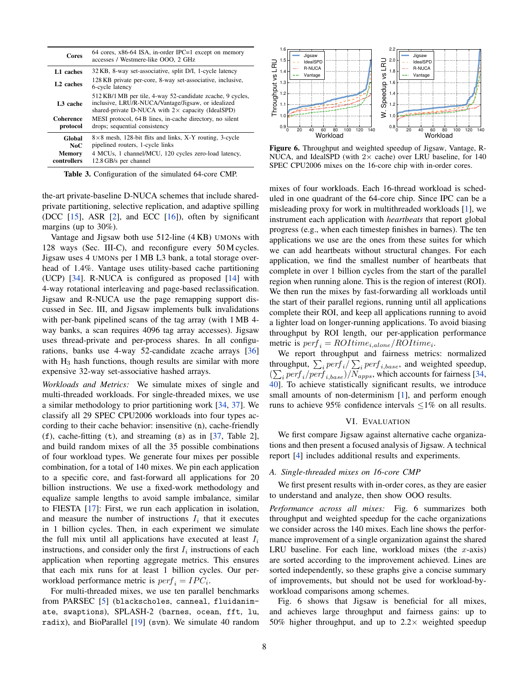<span id="page-7-1"></span>

| Cores                                         | 64 cores, x86-64 ISA, in-order IPC=1 except on memory<br>accesses / Westmere-like OOO, 2 GHz                                                                                                      |
|-----------------------------------------------|---------------------------------------------------------------------------------------------------------------------------------------------------------------------------------------------------|
| L1 caches                                     | 32 KB, 8-way set-associative, split D/I, 1-cycle latency                                                                                                                                          |
| L <sub>2</sub> caches                         | 128 KB private per-core, 8-way set-associative, inclusive,<br>6-cycle latency                                                                                                                     |
| L <sub>3</sub> cache                          | 512 KB/1 MB per tile, 4-way 52-candidate zcache, 9 cycles,<br>inclusive, LRU/R-NUCA/Vantage/Jigsaw, or idealized<br>shared-private D-NUCA with $2 \times$ capacity (IdealSPD)                     |
| <b>Coherence</b><br>protocol                  | MESI protocol, 64 B lines, in-cache directory, no silent<br>drops; sequential consistency                                                                                                         |
| Global<br>NoC<br><b>Memory</b><br>controllers | $8\times 8$ mesh, 128-bit flits and links, X-Y routing, 3-cycle<br>pipelined routers, 1-cycle links<br>4 MCU <sub>s</sub> , 1 channel/MCU, 120 cycles zero-load latency,<br>12.8 GB/s per channel |

Table 3. Configuration of the simulated 64-core CMP.

the-art private-baseline D-NUCA schemes that include sharedprivate partitioning, selective replication, and adaptive spilling (DCC  $[15]$ , ASR  $[2]$ , and ECC  $[16]$ ), often by significant margins (up to 30%).

Vantage and Jigsaw both use 512-line (4 KB) UMONs with 128 ways [\(Sec. III-C\)](#page-3-1), and reconfigure every 50 M cycles. Jigsaw uses 4 UMONs per 1 MB L3 bank, a total storage overhead of 1.4%. Vantage uses utility-based cache partitioning (UCP) [\[34\]](#page-11-17). R-NUCA is configured as proposed [\[14\]](#page-11-6) with 4-way rotational interleaving and page-based reclassification. Jigsaw and R-NUCA use the page remapping support discussed in [Sec. III,](#page-2-0) and Jigsaw implements bulk invalidations with per-bank pipelined scans of the tag array (with 1 MB 4 way banks, a scan requires 4096 tag array accesses). Jigsaw uses thread-private and per-process shares. In all configurations, banks use 4-way 52-candidate zcache arrays [\[36\]](#page-11-23) with  $H_3$  hash functions, though results are similar with more expensive 32-way set-associative hashed arrays.

*Workloads and Metrics:* We simulate mixes of single and multi-threaded workloads. For single-threaded mixes, we use a similar methodology to prior partitioning work [\[34,](#page-11-17) [37\]](#page-11-16). We classify all 29 SPEC CPU2006 workloads into four types according to their cache behavior: insensitive (n), cache-friendly (f), cache-fitting  $(t)$ , and streaming  $(s)$  as in  $[37,$  Table 2], and build random mixes of all the 35 possible combinations of four workload types. We generate four mixes per possible combination, for a total of 140 mixes. We pin each application to a specific core, and fast-forward all applications for 20 billion instructions. We use a fixed-work methodology and equalize sample lengths to avoid sample imbalance, similar to FIESTA [\[17\]](#page-11-41): First, we run each application in isolation, and measure the number of instructions  $I_i$  that it executes in 1 billion cycles. Then, in each experiment we simulate the full mix until all applications have executed at least  $I_i$ instructions, and consider only the first  $I_i$  instructions of each application when reporting aggregate metrics. This ensures that each mix runs for at least 1 billion cycles. Our perworkload performance metric is  $\text{perf}_i = IPC_i$ .

For multi-threaded mixes, we use ten parallel benchmarks from PARSEC [\[5\]](#page-11-42) (blackscholes, canneal, fluidanimate, swaptions), SPLASH-2 (barnes, ocean, fft, lu, radix), and BioParallel [\[19\]](#page-11-43) (svm). We simulate 40 random

<span id="page-7-2"></span>

Figure 6. Throughput and weighted speedup of Jigsaw, Vantage, R-NUCA, and IdealSPD (with  $2 \times$  cache) over LRU baseline, for 140 SPEC CPU2006 mixes on the 16-core chip with in-order cores.

mixes of four workloads. Each 16-thread workload is scheduled in one quadrant of the 64-core chip. Since IPC can be a misleading proxy for work in multithreaded workloads [\[1\]](#page-11-44), we instrument each application with *heartbeats* that report global progress (e.g., when each timestep finishes in barnes). The ten applications we use are the ones from these suites for which we can add heartbeats without structural changes. For each application, we find the smallest number of heartbeats that complete in over 1 billion cycles from the start of the parallel region when running alone. This is the region of interest (ROI). We then run the mixes by fast-forwarding all workloads until the start of their parallel regions, running until all applications complete their ROI, and keep all applications running to avoid a lighter load on longer-running applications. To avoid biasing throughput by ROI length, our per-application performance metric is  $perf_i = ROItime_{i, alone}/ROItime_i$ .

We report throughput and fairness metrics: normalized throughput,  $\sum_i perf_i / \sum_i perf_{i,base}$ , and weighted speedup,  $(\sum_{i} \text{perf}_i / \text{perf}_{i,base})/N_{apps}$ , which accounts for fairness [\[34,](#page-11-17) [40\]](#page-11-45). To achieve statistically significant results, we introduce small amounts of non-determinism [\[1\]](#page-11-44), and perform enough runs to achieve 95% confidence intervals ≤1% on all results.

#### VI. EVALUATION

<span id="page-7-0"></span>We first compare Jigsaw against alternative cache organizations and then present a focused analysis of Jigsaw. A technical report [\[4\]](#page-11-34) includes additional results and experiments.

#### *A. Single-threaded mixes on 16-core CMP*

We first present results with in-order cores, as they are easier to understand and analyze, then show OOO results.

*Performance across all mixes:* [Fig. 6](#page-7-2) summarizes both throughput and weighted speedup for the cache organizations we consider across the 140 mixes. Each line shows the performance improvement of a single organization against the shared LRU baseline. For each line, workload mixes (the  $x$ -axis) are sorted according to the improvement achieved. Lines are sorted independently, so these graphs give a concise summary of improvements, but should not be used for workload-byworkload comparisons among schemes.

[Fig. 6](#page-7-2) shows that Jigsaw is beneficial for all mixes, and achieves large throughput and fairness gains: up to 50% higher throughput, and up to  $2.2 \times$  weighted speedup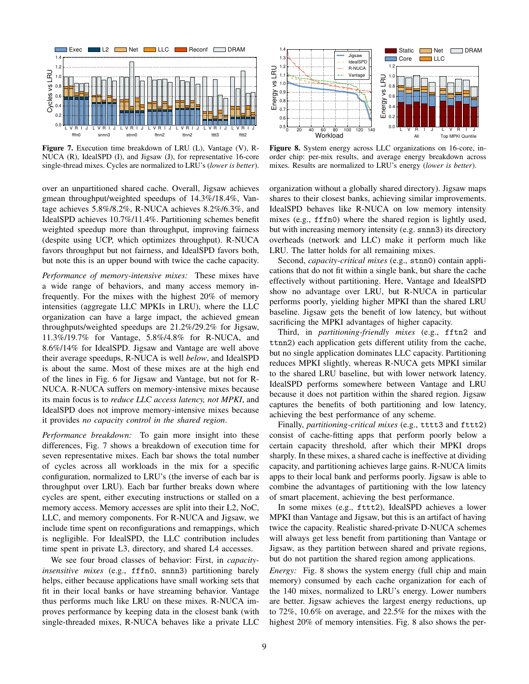<span id="page-8-0"></span>

Figure 7. Execution time breakdown of LRU (L), Vantage (V), R-NUCA (R), IdealSPD (I), and Jigsaw (J), for representative 16-core single-thread mixes. Cycles are normalized to LRU's (*lower is better*).

over an unpartitioned shared cache. Overall, Jigsaw achieves gmean throughput/weighted speedups of 14.3%/18.4%, Vantage achieves 5.8%/8.2%, R-NUCA achieves 8.2%/6.3%, and IdealSPD achieves 10.7%/11.4%. Partitioning schemes benefit weighted speedup more than throughput, improving fairness (despite using UCP, which optimizes throughput). R-NUCA favors throughput but not fairness, and IdealSPD favors both, but note this is an upper bound with twice the cache capacity.

*Performance of memory-intensive mixes:* These mixes have a wide range of behaviors, and many access memory infrequently. For the mixes with the highest 20% of memory intensities (aggregate LLC MPKIs in LRU), where the LLC organization can have a large impact, the achieved gmean throughputs/weighted speedups are 21.2%/29.2% for Jigsaw, 11.3%/19.7% for Vantage, 5.8%/4.8% for R-NUCA, and 8.6%/14% for IdealSPD. Jigsaw and Vantage are well above their average speedups, R-NUCA is well *below*, and IdealSPD is about the same. Most of these mixes are at the high end of the lines in [Fig. 6](#page-7-2) for Jigsaw and Vantage, but not for R-NUCA. R-NUCA suffers on memory-intensive mixes because its main focus is to *reduce LLC access latency, not MPKI*, and IdealSPD does not improve memory-intensive mixes because it provides *no capacity control in the shared region*.

*Performance breakdown:* To gain more insight into these differences, [Fig. 7](#page-8-0) shows a breakdown of execution time for seven representative mixes. Each bar shows the total number of cycles across all workloads in the mix for a specific configuration, normalized to LRU's (the inverse of each bar is throughput over LRU). Each bar further breaks down where cycles are spent, either executing instructions or stalled on a memory access. Memory accesses are split into their L2, NoC, LLC, and memory components. For R-NUCA and Jigsaw, we include time spent on reconfigurations and remappings, which is negligible. For IdealSPD, the LLC contribution includes time spent in private L3, directory, and shared L4 accesses.

We see four broad classes of behavior: First, in *capacityinsensitive mixes* (e.g., fffn0, snnn3) partitioning barely helps, either because applications have small working sets that fit in their local banks or have streaming behavior. Vantage thus performs much like LRU on these mixes. R-NUCA improves performance by keeping data in the closest bank (with single-threaded mixes, R-NUCA behaves like a private LLC

<span id="page-8-1"></span>

Figure 8. System energy across LLC organizations on 16-core, inorder chip: per-mix results, and average energy breakdown across mixes. Results are normalized to LRU's energy (*lower is better*).

organization without a globally shared directory). Jigsaw maps shares to their closest banks, achieving similar improvements. IdealSPD behaves like R-NUCA on low memory intensity mixes (e.g., fffn0) where the shared region is lightly used, but with increasing memory intensity (e.g. snnn3) its directory overheads (network and LLC) make it perform much like LRU. The latter holds for all remaining mixes.

Second, *capacity-critical mixes* (e.g., stnn0) contain applications that do not fit within a single bank, but share the cache effectively without partitioning. Here, Vantage and IdealSPD show no advantage over LRU, but R-NUCA in particular performs poorly, yielding higher MPKI than the shared LRU baseline. Jigsaw gets the benefit of low latency, but without sacrificing the MPKI advantages of higher capacity.

Third, in *partitioning-friendly mixes* (e.g., fftn2 and ttnn2) each application gets different utility from the cache, but no single application dominates LLC capacity. Partitioning reduces MPKI slightly, whereas R-NUCA gets MPKI similar to the shared LRU baseline, but with lower network latency. IdealSPD performs somewhere between Vantage and LRU because it does not partition within the shared region. Jigsaw captures the benefits of both partitioning and low latency, achieving the best performance of any scheme.

Finally, *partitioning-critical mixes* (e.g., tttt3 and fttt2) consist of cache-fitting apps that perform poorly below a certain capacity threshold, after which their MPKI drops sharply. In these mixes, a shared cache is ineffective at dividing capacity, and partitioning achieves large gains. R-NUCA limits apps to their local bank and performs poorly. Jigsaw is able to combine the advantages of partitioning with the low latency of smart placement, achieving the best performance.

In some mixes (e.g., fttt2), IdealSPD achieves a lower MPKI than Vantage and Jigsaw, but this is an artifact of having twice the capacity. Realistic shared-private D-NUCA schemes will always get less benefit from partitioning than Vantage or Jigsaw, as they partition between shared and private regions, but do not partition the shared region among applications.

*Energy:* [Fig. 8](#page-8-1) shows the system energy (full chip and main memory) consumed by each cache organization for each of the 140 mixes, normalized to LRU's energy. Lower numbers are better. Jigsaw achieves the largest energy reductions, up to 72%, 10.6% on average, and 22.5% for the mixes with the highest 20% of memory intensities. [Fig. 8](#page-8-1) also shows the per-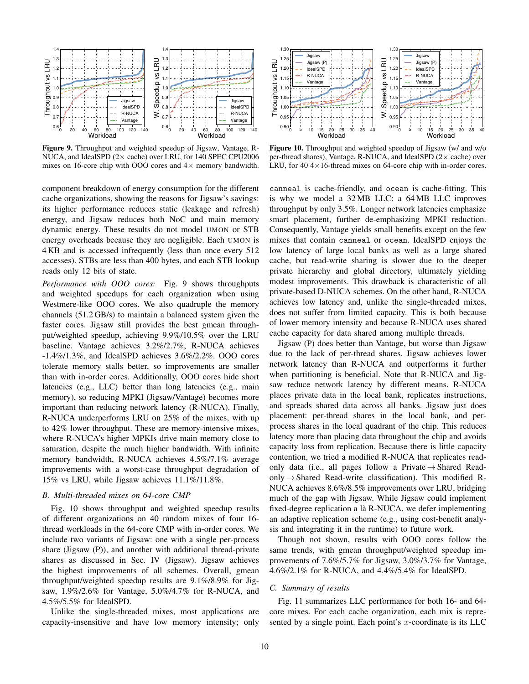<span id="page-9-0"></span>

Figure 9. Throughput and weighted speedup of Jigsaw, Vantage, R-NUCA, and IdealSPD (2× cache) over LRU, for 140 SPEC CPU2006 mixes on 16-core chip with OOO cores and  $4\times$  memory bandwidth.

component breakdown of energy consumption for the different cache organizations, showing the reasons for Jigsaw's savings: its higher performance reduces static (leakage and refresh) energy, and Jigsaw reduces both NoC and main memory dynamic energy. These results do not model UMON or STB energy overheads because they are negligible. Each UMON is 4 KB and is accessed infrequently (less than once every 512 accesses). STBs are less than 400 bytes, and each STB lookup reads only 12 bits of state.

*Performance with OOO cores:* [Fig. 9](#page-9-0) shows throughputs and weighted speedups for each organization when using Westmere-like OOO cores. We also quadruple the memory channels (51.2 GB/s) to maintain a balanced system given the faster cores. Jigsaw still provides the best gmean throughput/weighted speedup, achieving 9.9%/10.5% over the LRU baseline. Vantage achieves 3.2%/2.7%, R-NUCA achieves -1.4%/1.3%, and IdealSPD achieves 3.6%/2.2%. OOO cores tolerate memory stalls better, so improvements are smaller than with in-order cores. Additionally, OOO cores hide short latencies (e.g., LLC) better than long latencies (e.g., main memory), so reducing MPKI (Jigsaw/Vantage) becomes more important than reducing network latency (R-NUCA). Finally, R-NUCA underperforms LRU on 25% of the mixes, with up to 42% lower throughput. These are memory-intensive mixes, where R-NUCA's higher MPKIs drive main memory close to saturation, despite the much higher bandwidth. With infinite memory bandwidth, R-NUCA achieves 4.5%/7.1% average improvements with a worst-case throughput degradation of 15% vs LRU, while Jigsaw achieves 11.1%/11.8%.

## *B. Multi-threaded mixes on 64-core CMP*

[Fig. 10](#page-9-1) shows throughput and weighted speedup results of different organizations on 40 random mixes of four 16 thread workloads in the 64-core CMP with in-order cores. We include two variants of Jigsaw: one with a single per-process share (Jigsaw (P)), and another with additional thread-private shares as discussed in [Sec. IV](#page-4-0) (Jigsaw). Jigsaw achieves the highest improvements of all schemes. Overall, gmean throughput/weighted speedup results are 9.1%/8.9% for Jigsaw, 1.9%/2.6% for Vantage, 5.0%/4.7% for R-NUCA, and 4.5%/5.5% for IdealSPD.

Unlike the single-threaded mixes, most applications are capacity-insensitive and have low memory intensity; only

<span id="page-9-1"></span>

Figure 10. Throughput and weighted speedup of Jigsaw (w/ and w/o per-thread shares), Vantage, R-NUCA, and IdealSPD (2× cache) over LRU, for  $40.4 \times 16$ -thread mixes on 64-core chip with in-order cores.

canneal is cache-friendly, and ocean is cache-fitting. This is why we model a 32 MB LLC: a 64 MB LLC improves throughput by only 3.5%. Longer network latencies emphasize smart placement, further de-emphasizing MPKI reduction. Consequently, Vantage yields small benefits except on the few mixes that contain canneal or ocean. IdealSPD enjoys the low latency of large local banks as well as a large shared cache, but read-write sharing is slower due to the deeper private hierarchy and global directory, ultimately yielding modest improvements. This drawback is characteristic of all private-based D-NUCA schemes. On the other hand, R-NUCA achieves low latency and, unlike the single-threaded mixes, does not suffer from limited capacity. This is both because of lower memory intensity and because R-NUCA uses shared cache capacity for data shared among multiple threads.

Jigsaw (P) does better than Vantage, but worse than Jigsaw due to the lack of per-thread shares. Jigsaw achieves lower network latency than R-NUCA and outperforms it further when partitioning is beneficial. Note that R-NUCA and Jigsaw reduce network latency by different means. R-NUCA places private data in the local bank, replicates instructions, and spreads shared data across all banks. Jigsaw just does placement: per-thread shares in the local bank, and perprocess shares in the local quadrant of the chip. This reduces latency more than placing data throughout the chip and avoids capacity loss from replication. Because there is little capacity contention, we tried a modified R-NUCA that replicates readonly data (i.e., all pages follow a Private  $\rightarrow$  Shared Readonly  $\rightarrow$  Shared Read-write classification). This modified R-NUCA achieves 8.6%/8.5% improvements over LRU, bridging much of the gap with Jigsaw. While Jigsaw could implement fixed-degree replication a là R-NUCA, we defer implementing an adaptive replication scheme (e.g., using cost-benefit analysis and integrating it in the runtime) to future work.

Though not shown, results with OOO cores follow the same trends, with gmean throughput/weighted speedup improvements of 7.6%/5.7% for Jigsaw, 3.0%/3.7% for Vantage, 4.6%/2.1% for R-NUCA, and 4.4%/5.4% for IdealSPD.

### *C. Summary of results*

[Fig. 11](#page-10-2) summarizes LLC performance for both 16- and 64 core mixes. For each cache organization, each mix is represented by a single point. Each point's  $x$ -coordinate is its LLC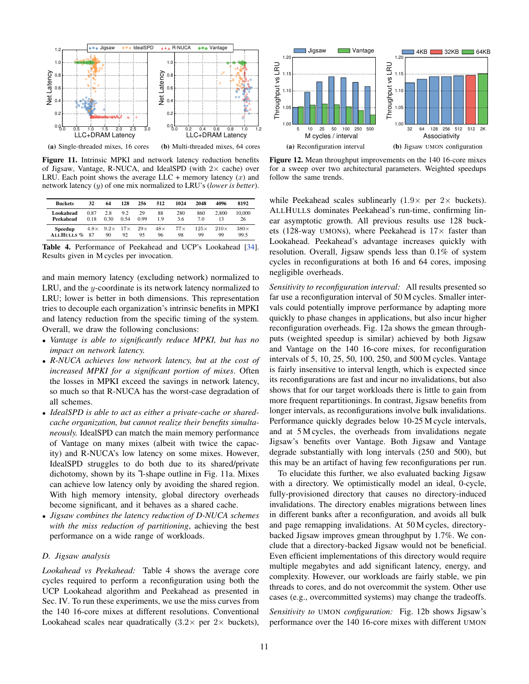<span id="page-10-3"></span><span id="page-10-2"></span>

Figure 11. Intrinsic MPKI and network latency reduction benefits of Jigsaw, Vantage, R-NUCA, and IdealSPD (with  $2 \times$  cache) over LRU. Each point shows the average  $LLC$  + memory latency  $(x)$  and network latency (y) of one mix normalized to LRU's (*lower is better*).

<span id="page-10-4"></span>

| <b>Buckets</b>           | 32           | 64                                         | 128        | 256              | 512              | 1024             | 2048              | 4096              | 8192                |
|--------------------------|--------------|--------------------------------------------|------------|------------------|------------------|------------------|-------------------|-------------------|---------------------|
| Lookahead<br>Peekahead   | 0.87<br>0.18 | 2.8<br>0.30                                | 92<br>0.54 | 29<br>0.99       | 88<br>19         | 280<br>3.6       | 860<br>7.0        | 2.800<br>13       | 10,000<br>26        |
| Speedup<br>ALLHULLS % 87 |              | $4.8\times$ 9.2 $\times$ 17 $\times$<br>90 | 92         | $29\times$<br>95 | $48\times$<br>96 | $77\times$<br>98 | $125\times$<br>99 | $210\times$<br>99 | $380\times$<br>99.5 |

Table 4. Performance of Peekahead and UCP's Lookahead [\[34\]](#page-11-17). Results given in M cycles per invocation.

and main memory latency (excluding network) normalized to LRU, and the y-coordinate is its network latency normalized to LRU; lower is better in both dimensions. This representation tries to decouple each organization's intrinsic benefits in MPKI and latency reduction from the specific timing of the system. Overall, we draw the following conclusions:

- *Vantage is able to significantly reduce MPKI, but has no impact on network latency.*
- *R-NUCA achieves low network latency, but at the cost of increased MPKI for a significant portion of mixes*. Often the losses in MPKI exceed the savings in network latency, so much so that R-NUCA has the worst-case degradation of all schemes.
- *IdealSPD is able to act as either a private-cache or sharedcache organization, but cannot realize their benefits simultaneously.* IdealSPD can match the main memory performance of Vantage on many mixes (albeit with twice the capacity) and R-NUCA's low latency on some mixes. However, IdealSPD struggles to do both due to its shared/private dichotomy, shown by its 7-shape outline in [Fig. 11a.](#page-10-3) Mixes can achieve low latency only by avoiding the shared region. With high memory intensity, global directory overheads become significant, and it behaves as a shared cache.
- *Jigsaw combines the latency reduction of D-NUCA schemes with the miss reduction of partitioning*, achieving the best performance on a wide range of workloads.

## *D. Jigsaw analysis*

<span id="page-10-1"></span>*Lookahead vs Peekahead:* [Table 4](#page-10-4) shows the average core cycles required to perform a reconfiguration using both the UCP Lookahead algorithm and Peekahead as presented in [Sec. IV.](#page-4-0) To run these experiments, we use the miss curves from the 140 16-core mixes at different resolutions. Conventional Lookahead scales near quadratically  $(3.2 \times$  per  $2 \times$  buckets),

<span id="page-10-5"></span>

<span id="page-10-6"></span>Figure 12. Mean throughput improvements on the 140 16-core mixes for a sweep over two architectural parameters. Weighted speedups follow the same trends.

while Peekahead scales sublinearly  $(1.9 \times$  per  $2 \times$  buckets). ALLHULLS dominates Peekahead's run-time, confirming linear asymptotic growth. All previous results use 128 buckets (128-way UMONs), where Peekahead is  $17\times$  faster than Lookahead. Peekahead's advantage increases quickly with resolution. Overall, Jigsaw spends less than 0.1% of system cycles in reconfigurations at both 16 and 64 cores, imposing negligible overheads.

*Sensitivity to reconfiguration interval:* All results presented so far use a reconfiguration interval of 50 M cycles. Smaller intervals could potentially improve performance by adapting more quickly to phase changes in applications, but also incur higher reconfiguration overheads. [Fig. 12a](#page-10-5) shows the gmean throughputs (weighted speedup is similar) achieved by both Jigsaw and Vantage on the 140 16-core mixes, for reconfiguration intervals of 5, 10, 25, 50, 100, 250, and 500 M cycles. Vantage is fairly insensitive to interval length, which is expected since its reconfigurations are fast and incur no invalidations, but also shows that for our target workloads there is little to gain from more frequent repartitionings. In contrast, Jigsaw benefits from longer intervals, as reconfigurations involve bulk invalidations. Performance quickly degrades below 10-25 M cycle intervals, and at 5 M cycles, the overheads from invalidations negate Jigsaw's benefits over Vantage. Both Jigsaw and Vantage degrade substantially with long intervals (250 and 500), but this may be an artifact of having few reconfigurations per run.

To elucidate this further, we also evaluated backing Jigsaw with a directory. We optimistically model an ideal, 0-cycle, fully-provisioned directory that causes no directory-induced invalidations. The directory enables migrations between lines in different banks after a reconfiguration, and avoids all bulk and page remapping invalidations. At 50 M cycles, directorybacked Jigsaw improves gmean throughput by 1.7%. We conclude that a directory-backed Jigsaw would not be beneficial. Even efficient implementations of this directory would require multiple megabytes and add significant latency, energy, and complexity. However, our workloads are fairly stable, we pin threads to cores, and do not overcommit the system. Other use cases (e.g., overcommitted systems) may change the tradeoffs.

<span id="page-10-0"></span>*Sensitivity to* UMON *configuration:* [Fig. 12b](#page-10-6) shows Jigsaw's performance over the 140 16-core mixes with different UMON